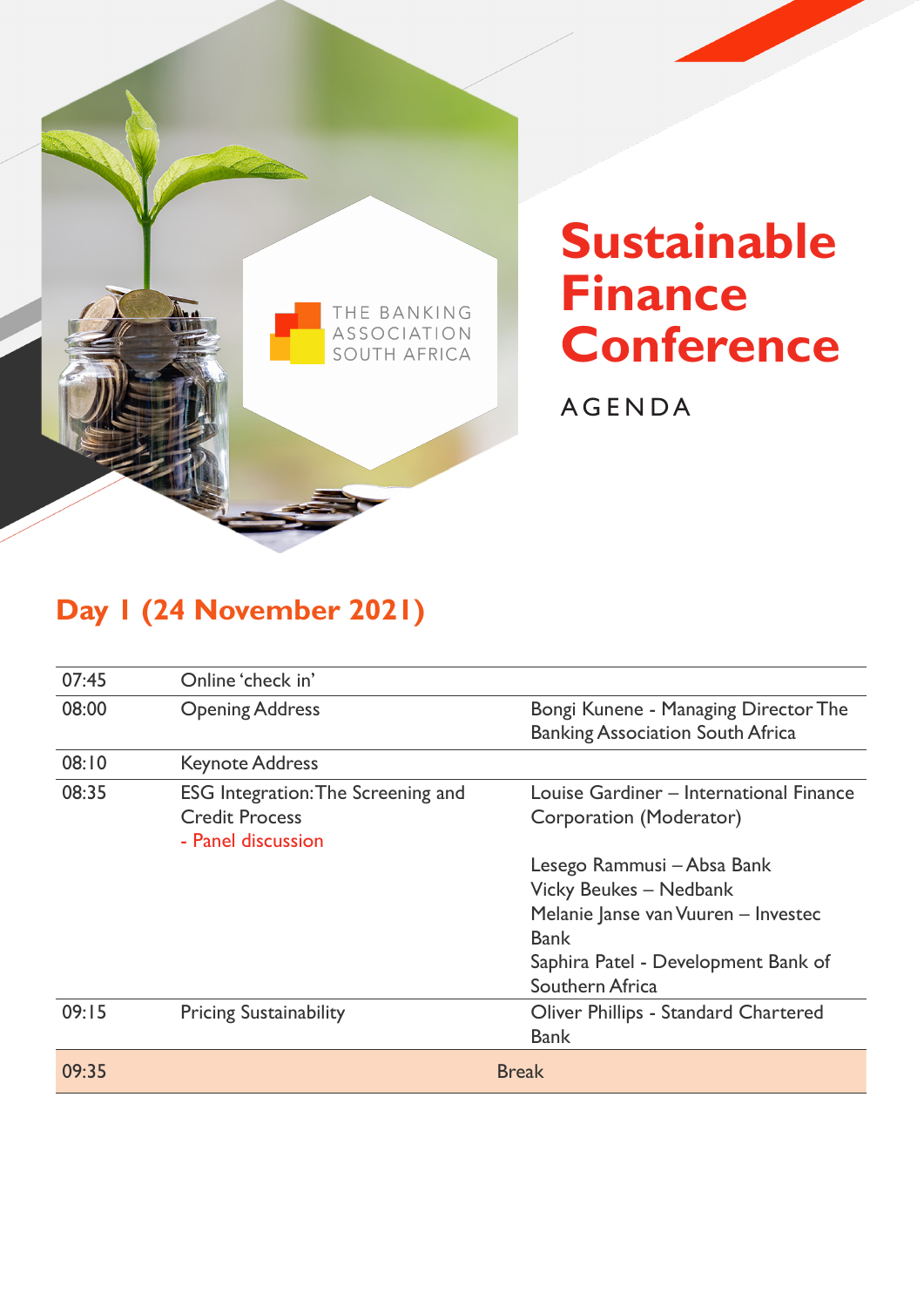

# **Sustainable Finance Conference**

AGENDA

### **Day 1 (24 November 2021)**

| 07:45 | Online 'check in'                         |                                         |
|-------|-------------------------------------------|-----------------------------------------|
| 08:00 | <b>Opening Address</b>                    | Bongi Kunene - Managing Director The    |
|       |                                           | <b>Banking Association South Africa</b> |
| 08:10 | <b>Keynote Address</b>                    |                                         |
| 08:35 | <b>ESG</b> Integration: The Screening and | Louise Gardiner - International Finance |
|       | <b>Credit Process</b>                     | Corporation (Moderator)                 |
|       | - Panel discussion                        |                                         |
|       |                                           | Lesego Rammusi – Absa Bank              |
|       |                                           | Vicky Beukes - Nedbank                  |
|       |                                           | Melanie Janse van Vuuren - Investec     |
|       |                                           | <b>Bank</b>                             |
|       |                                           | Saphira Patel - Development Bank of     |
|       |                                           | Southern Africa                         |
| 09:15 | <b>Pricing Sustainability</b>             | Oliver Phillips - Standard Chartered    |
|       |                                           | <b>Bank</b>                             |
| 09:35 |                                           | <b>Break</b>                            |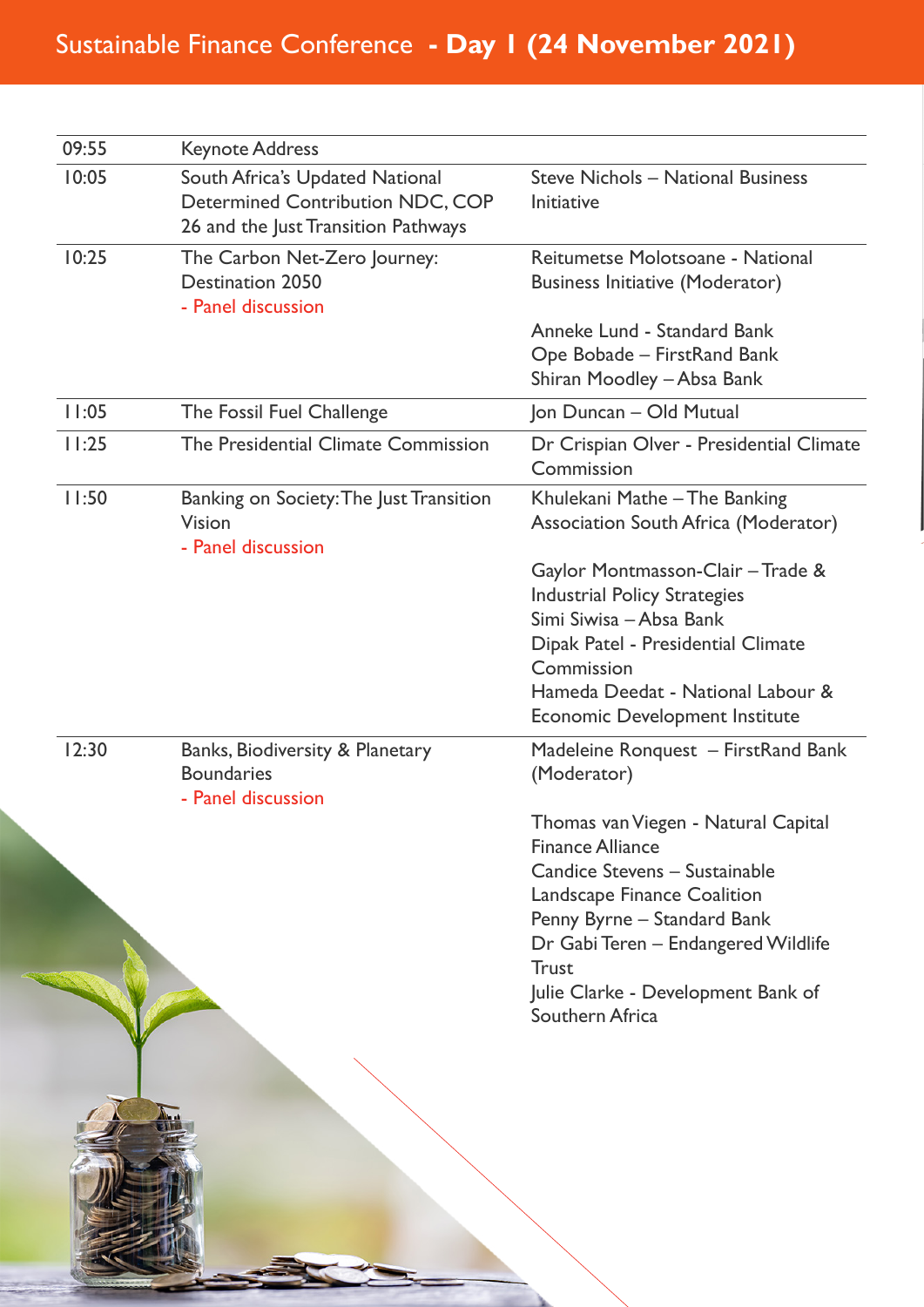## Sustainable Finance Conference **- Day 1 (24 November 2021)**

| 09:55 | <b>Keynote Address</b>                                                                                            |                                                                                                                                                                                                                                                                                      |
|-------|-------------------------------------------------------------------------------------------------------------------|--------------------------------------------------------------------------------------------------------------------------------------------------------------------------------------------------------------------------------------------------------------------------------------|
| 10:05 | South Africa's Updated National<br><b>Determined Contribution NDC, COP</b><br>26 and the Just Transition Pathways | Steve Nichols - National Business<br>Initiative                                                                                                                                                                                                                                      |
| 10:25 | The Carbon Net-Zero Journey:<br><b>Destination 2050</b><br>- Panel discussion                                     | Reitumetse Molotsoane - National<br><b>Business Initiative (Moderator)</b>                                                                                                                                                                                                           |
|       |                                                                                                                   | Anneke Lund - Standard Bank<br>Ope Bobade - FirstRand Bank<br>Shiran Moodley – Absa Bank                                                                                                                                                                                             |
| 11:05 | The Fossil Fuel Challenge                                                                                         | Jon Duncan - Old Mutual                                                                                                                                                                                                                                                              |
| 11:25 | The Presidential Climate Commission                                                                               | Dr Crispian Olver - Presidential Climate<br>Commission                                                                                                                                                                                                                               |
| 11:50 | Banking on Society: The Just Transition<br>Vision<br>- Panel discussion                                           | Khulekani Mathe – The Banking<br>Association South Africa (Moderator)                                                                                                                                                                                                                |
|       |                                                                                                                   | Gaylor Montmasson-Clair - Trade &<br><b>Industrial Policy Strategies</b><br>Simi Siwisa - Absa Bank<br>Dipak Patel - Presidential Climate<br>Commission<br>Hameda Deedat - National Labour &<br><b>Economic Development Institute</b>                                                |
| 12:30 | Banks, Biodiversity & Planetary<br><b>Boundaries</b><br>- Panel discussion                                        | Madeleine Ronquest – FirstRand Bank<br>(Moderator)                                                                                                                                                                                                                                   |
|       |                                                                                                                   | Thomas van Viegen - Natural Capital<br><b>Finance Alliance</b><br>Candice Stevens - Sustainable<br><b>Landscape Finance Coalition</b><br>Penny Byrne - Standard Bank<br>Dr Gabi Teren - Endangered Wildlife<br><b>Trust</b><br>Julie Clarke - Development Bank of<br>Southern Africa |
|       |                                                                                                                   |                                                                                                                                                                                                                                                                                      |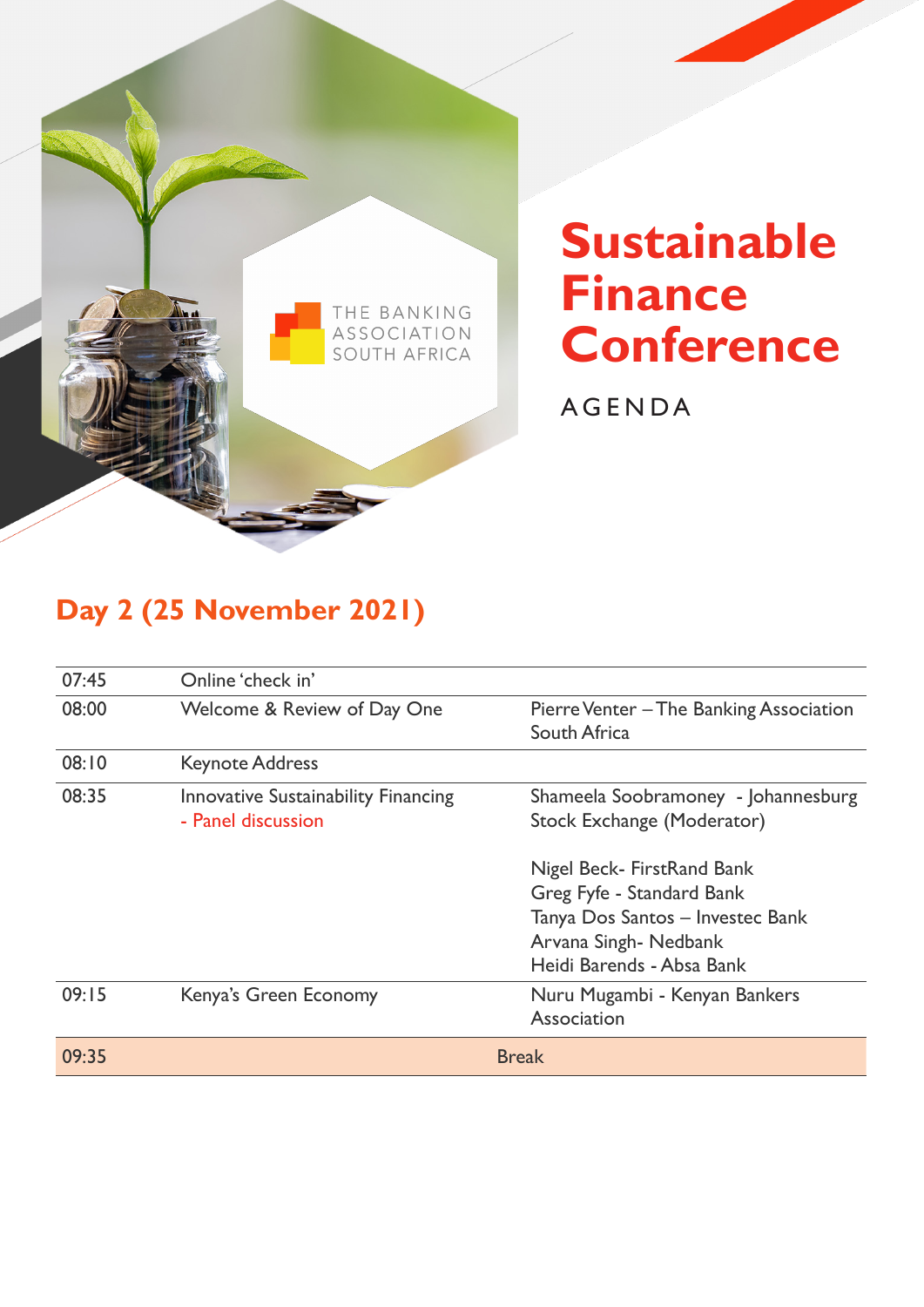

# **Sustainable Finance Conference**

AGENDA

### **Day 2 (25 November 2021)**

| 07:45 | Online 'check in'                                                |                                                                                                                                                  |
|-------|------------------------------------------------------------------|--------------------------------------------------------------------------------------------------------------------------------------------------|
| 08:00 | Welcome & Review of Day One                                      | Pierre Venter – The Banking Association<br>South Africa                                                                                          |
| 08:10 | <b>Keynote Address</b>                                           |                                                                                                                                                  |
| 08:35 | <b>Innovative Sustainability Financing</b><br>- Panel discussion | Shameela Soobramoney - Johannesburg<br>Stock Exchange (Moderator)                                                                                |
|       |                                                                  | Nigel Beck- FirstRand Bank<br>Greg Fyfe - Standard Bank<br>Tanya Dos Santos - Investec Bank<br>Arvana Singh-Nedbank<br>Heidi Barends - Absa Bank |
| 09:15 | Kenya's Green Economy                                            | Nuru Mugambi - Kenyan Bankers<br>Association                                                                                                     |
| 09:35 |                                                                  | <b>Break</b>                                                                                                                                     |